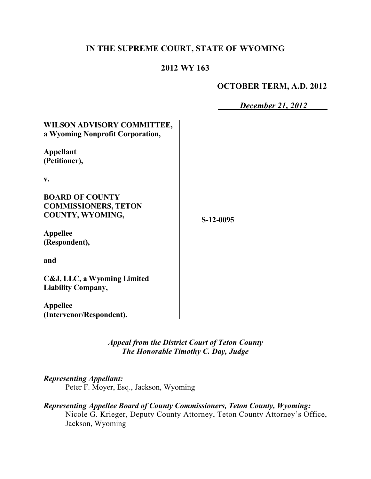## **IN THE SUPREME COURT, STATE OF WYOMING**

### **2012 WY 163**

### **OCTOBER TERM, A.D. 2012**

*December 21, 2012*

| WILSON ADVISORY COMMITTEE,<br>a Wyoming Nonprofit Corporation,                   |           |  |
|----------------------------------------------------------------------------------|-----------|--|
| <b>Appellant</b><br>(Petitioner),                                                |           |  |
| v.                                                                               |           |  |
| <b>BOARD OF COUNTY</b><br><b>COMMISSIONERS, TETON</b><br><b>COUNTY, WYOMING,</b> | S-12-0095 |  |
| <b>Appellee</b><br>(Respondent),                                                 |           |  |
| and                                                                              |           |  |
| C&J, LLC, a Wyoming Limited<br><b>Liability Company,</b>                         |           |  |
| <b>Appellee</b><br>(Intervenor/Respondent).                                      |           |  |

*Appeal from the District Court of Teton County The Honorable Timothy C. Day, Judge* 

#### *Representing Appellant:*

Peter F. Moyer, Esq., Jackson, Wyoming

*Representing Appellee Board of County Commissioners, Teton County, Wyoming:* Nicole G. Krieger, Deputy County Attorney, Teton County Attorney's Office, Jackson, Wyoming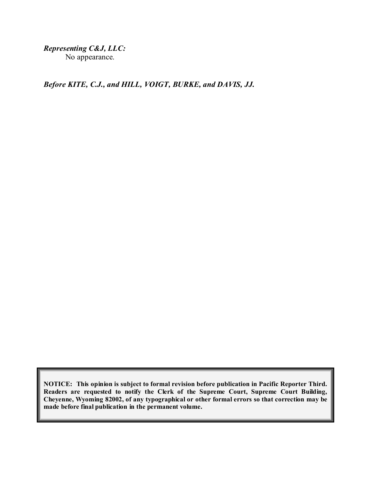*Representing C&J, LLC:* No appearance.

*Before KITE, C.J., and HILL, VOIGT, BURKE, and DAVIS, JJ.*

**NOTICE: This opinion is subject to formal revision before publication in Pacific Reporter Third. Readers are requested to notify the Clerk of the Supreme Court, Supreme Court Building, Cheyenne, Wyoming 82002, of any typographical or other formal errors so that correction may be made before final publication in the permanent volume.**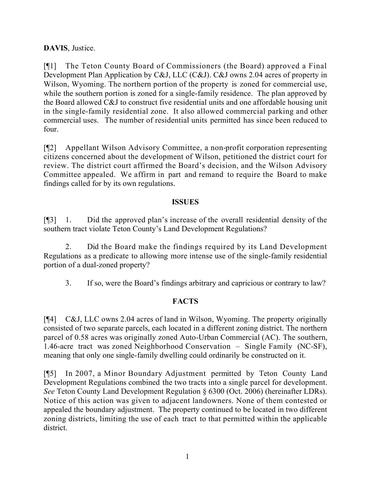# **DAVIS**, Justice.

[¶1] The Teton County Board of Commissioners (the Board) approved a Final Development Plan Application by C&J, LLC (C&J). C&J owns 2.04 acres of property in Wilson, Wyoming. The northern portion of the property is zoned for commercial use, while the southern portion is zoned for a single-family residence. The plan approved by the Board allowed C&J to construct five residential units and one affordable housing unit in the single-family residential zone. It also allowed commercial parking and other commercial uses. The number of residential units permitted has since been reduced to four.

[¶2] Appellant Wilson Advisory Committee, a non-profit corporation representing citizens concerned about the development of Wilson, petitioned the district court for review. The district court affirmed the Board's decision, and the Wilson Advisory Committee appealed. We affirm in part and remand to require the Board to make findings called for by its own regulations.

### **ISSUES**

[¶3] 1. Did the approved plan's increase of the overall residential density of the southern tract violate Teton County's Land Development Regulations?

2. Did the Board make the findings required by its Land Development Regulations as a predicate to allowing more intense use of the single-family residential portion of a dual-zoned property?

3. If so, were the Board's findings arbitrary and capricious or contrary to law?

# **FACTS**

[¶4] C&J, LLC owns 2.04 acres of land in Wilson, Wyoming. The property originally consisted of two separate parcels, each located in a different zoning district. The northern parcel of 0.58 acres was originally zoned Auto-Urban Commercial (AC). The southern, 1.46-acre tract was zoned Neighborhood Conservation – Single Family (NC-SF), meaning that only one single-family dwelling could ordinarily be constructed on it.

[¶5] In 2007, a Minor Boundary Adjustment permitted by Teton County Land Development Regulations combined the two tracts into a single parcel for development. *See* Teton County Land Development Regulation § 6300 (Oct. 2006) (hereinafter LDRs). Notice of this action was given to adjacent landowners. None of them contested or appealed the boundary adjustment. The property continued to be located in two different zoning districts, limiting the use of each tract to that permitted within the applicable district.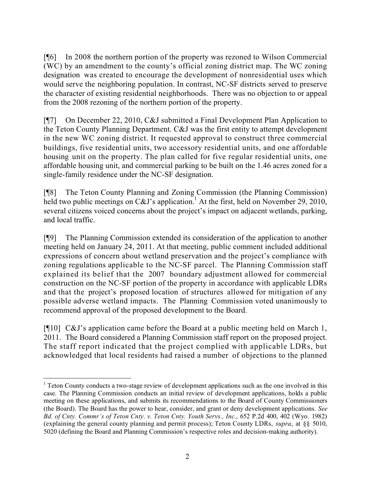[¶6] In 2008 the northern portion of the property was rezoned to Wilson Commercial (WC) by an amendment to the county's official zoning district map. The WC zoning designation was created to encourage the development of nonresidential uses which would serve the neighboring population. In contrast, NC-SF districts served to preserve the character of existing residential neighborhoods. There was no objection to or appeal from the 2008 rezoning of the northern portion of the property.

[¶7] On December 22, 2010, C&J submitted a Final Development Plan Application to the Teton County Planning Department. C&J was the first entity to attempt development in the new WC zoning district. It requested approval to construct three commercial buildings, five residential units, two accessory residential units, and one affordable housing unit on the property. The plan called for five regular residential units, one affordable housing unit, and commercial parking to be built on the 1.46 acres zoned for a single-family residence under the NC-SF designation.

[¶8] The Teton County Planning and Zoning Commission (the Planning Commission) held two public meetings on  $C&J$ 's application.<sup>1</sup> At the first, held on November 29, 2010, several citizens voiced concerns about the project's impact on adjacent wetlands, parking, and local traffic.

[¶9] The Planning Commission extended its consideration of the application to another meeting held on January 24, 2011. At that meeting, public comment included additional expressions of concern about wetland preservation and the project's compliance with zoning regulations applicable to the NC-SF parcel. The Planning Commission staff explained its belief that the 2007 boundary adjustment allowed for commercial construction on the NC-SF portion of the property in accordance with applicable LDRs and that the project's proposed location of structures allowed for mitigation of any possible adverse wetland impacts. The Planning Commission voted unanimously to recommend approval of the proposed development to the Board.

[¶10] C&J's application came before the Board at a public meeting held on March 1, 2011. The Board considered a Planning Commission staff report on the proposed project. The staff report indicated that the project complied with applicable LDRs, but acknowledged that local residents had raised a number of objections to the planned

 $\overline{a}$ 

<sup>&</sup>lt;sup>1</sup> Teton County conducts a two-stage review of development applications such as the one involved in this case. The Planning Commission conducts an initial review of development applications, holds a public meeting on these applications, and submits its recommendations to the Board of County Commissioners (the Board). The Board has the power to hear, consider, and grant or deny development applications. *See Bd. of Cnty. Commr's of Teton Cnty. v. Teton Cnty. Youth Servs., Inc.*, 652 P.2d 400, 402 (Wyo. 1982) (explaining the general county planning and permit process); Teton County LDRs, *supra*, at §§ 5010, 5020 (defining the Board and Planning Commission's respective roles and decision-making authority).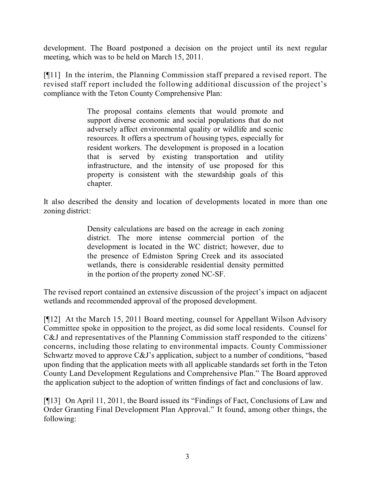development. The Board postponed a decision on the project until its next regular meeting, which was to be held on March 15, 2011.

[¶11] In the interim, the Planning Commission staff prepared a revised report. The revised staff report included the following additional discussion of the project's compliance with the Teton County Comprehensive Plan:

> The proposal contains elements that would promote and support diverse economic and social populations that do not adversely affect environmental quality or wildlife and scenic resources. It offers a spectrum of housing types, especially for resident workers. The development is proposed in a location that is served by existing transportation and utility infrastructure, and the intensity of use proposed for this property is consistent with the stewardship goals of this chapter.

It also described the density and location of developments located in more than one zoning district:

> Density calculations are based on the acreage in each zoning district. The more intense commercial portion of the development is located in the WC district; however, due to the presence of Edmiston Spring Creek and its associated wetlands, there is considerable residential density permitted in the portion of the property zoned NC-SF.

The revised report contained an extensive discussion of the project's impact on adjacent wetlands and recommended approval of the proposed development.

[¶12] At the March 15, 2011 Board meeting, counsel for Appellant Wilson Advisory Committee spoke in opposition to the project, as did some local residents. Counsel for C&J and representatives of the Planning Commission staff responded to the citizens' concerns, including those relating to environmental impacts. County Commissioner Schwartz moved to approve C&J's application, subject to a number of conditions, "based upon finding that the application meets with all applicable standards set forth in the Teton County Land Development Regulations and Comprehensive Plan." The Board approved the application subject to the adoption of written findings of fact and conclusions of law.

[¶13] On April 11, 2011, the Board issued its "Findings of Fact, Conclusions of Law and Order Granting Final Development Plan Approval." It found, among other things, the following: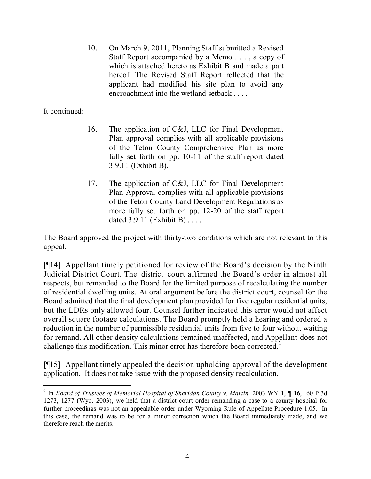10. On March 9, 2011, Planning Staff submitted a Revised Staff Report accompanied by a Memo . . . , a copy of which is attached hereto as Exhibit B and made a part hereof. The Revised Staff Report reflected that the applicant had modified his site plan to avoid any encroachment into the wetland setback . . . .

### It continued:

- 16. The application of C&J, LLC for Final Development Plan approval complies with all applicable provisions of the Teton County Comprehensive Plan as more fully set forth on pp. 10-11 of the staff report dated 3.9.11 (Exhibit B).
- 17. The application of C&J, LLC for Final Development Plan Approval complies with all applicable provisions of the Teton County Land Development Regulations as more fully set forth on pp. 12-20 of the staff report dated 3.9.11 (Exhibit B) . . . .

The Board approved the project with thirty-two conditions which are not relevant to this appeal.

[¶14] Appellant timely petitioned for review of the Board's decision by the Ninth Judicial District Court. The district court affirmed the Board's order in almost all respects, but remanded to the Board for the limited purpose of recalculating the number of residential dwelling units. At oral argument before the district court, counsel for the Board admitted that the final development plan provided for five regular residential units, but the LDRs only allowed four. Counsel further indicated this error would not affect overall square footage calculations. The Board promptly held a hearing and ordered a reduction in the number of permissible residential units from five to four without waiting for remand. All other density calculations remained unaffected, and Appellant does not challenge this modification. This minor error has therefore been corrected.<sup>2</sup>

[¶15] Appellant timely appealed the decision upholding approval of the development application. It does not take issue with the proposed density recalculation.

 2 In *Board of Trustees of Memorial Hospital of Sheridan County v. Martin,* 2003 WY 1, ¶ 16, 60 P.3d 1273, 1277 (Wyo. 2003), we held that a district court order remanding a case to a county hospital for further proceedings was not an appealable order under Wyoming Rule of Appellate Procedure 1.05. In this case, the remand was to be for a minor correction which the Board immediately made, and we therefore reach the merits.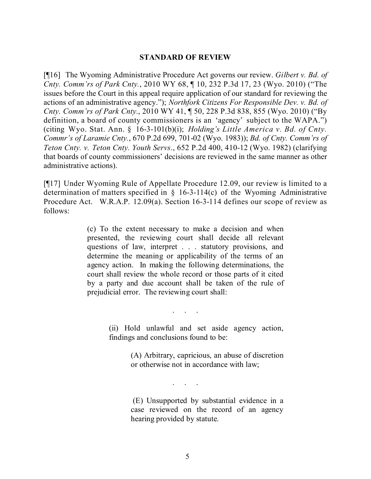#### **STANDARD OF REVIEW**

[¶16] The Wyoming Administrative Procedure Act governs our review. *Gilbert v. Bd. of Cnty. Comm'rs of Park Cnty.*, 2010 WY 68, ¶ 10, 232 P.3d 17, 23 (Wyo. 2010) ("The issues before the Court in this appeal require application of our standard for reviewing the actions of an administrative agency."); *Northfork Citizens For Responsible Dev. v. Bd. of Cnty. Comm'rs of Park Cnty.*, 2010 WY 41, ¶ 50, 228 P.3d 838, 855 (Wyo. 2010) ("By definition, a board of county commissioners is an 'agency' subject to the WAPA.") (citing Wyo. Stat. Ann. § 16-3-101(b)(i); *Holding's Little America v. Bd. of Cnty. Commr's of Laramie Cnty.*, 670 P.2d 699, 701-02 (Wyo. 1983)); *Bd. of Cnty. Comm'rs of Teton Cnty. v. Teton Cnty. Youth Servs*., 652 P.2d 400, 410-12 (Wyo. 1982) (clarifying that boards of county commissioners' decisions are reviewed in the same manner as other administrative actions).

[¶17] Under Wyoming Rule of Appellate Procedure 12.09, our review is limited to a determination of matters specified in § 16-3-114(c) of the Wyoming Administrative Procedure Act. W.R.A.P. 12.09(a). Section 16-3-114 defines our scope of review as follows:

> (c) To the extent necessary to make a decision and when presented, the reviewing court shall decide all relevant questions of law, interpret . . . statutory provisions, and determine the meaning or applicability of the terms of an agency action. In making the following determinations, the court shall review the whole record or those parts of it cited by a party and due account shall be taken of the rule of prejudicial error. The reviewing court shall:

> > . . . . .<br>. . . . . .

. . . . .

(ii) Hold unlawful and set aside agency action, findings and conclusions found to be:

> (A) Arbitrary, capricious, an abuse of discretion or otherwise not in accordance with law;

> (E) Unsupported by substantial evidence in a case reviewed on the record of an agency hearing provided by statute.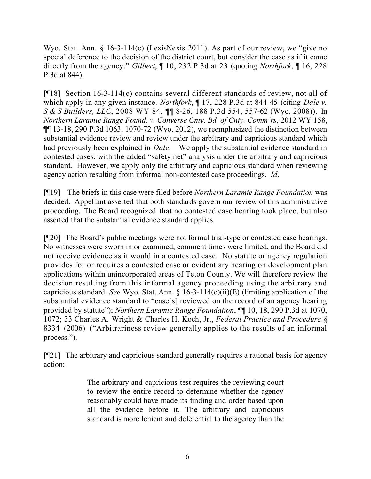Wyo. Stat. Ann. § 16-3-114(c) (LexisNexis 2011). As part of our review, we "give no special deference to the decision of the district court, but consider the case as if it came directly from the agency." *Gilbert*, ¶ 10, 232 P.3d at 23 (quoting *Northfork*, ¶ 16, 228 P.3d at 844).

[¶18] Section 16-3-114(c) contains several different standards of review, not all of which apply in any given instance. *Northfork*, ¶ 17, 228 P.3d at 844-45 (citing *Dale v. S & S Builders, LLC*, 2008 WY 84, ¶¶ 8-26, 188 P.3d 554, 557-62 (Wyo. 2008)). In *Northern Laramie Range Found. v. Converse Cnty. Bd. of Cnty. Comm'rs*, 2012 WY 158, ¶¶ 13-18, 290 P.3d 1063, 1070-72 (Wyo. 2012), we reemphasized the distinction between substantial evidence review and review under the arbitrary and capricious standard which had previously been explained in *Dale*. We apply the substantial evidence standard in contested cases, with the added "safety net" analysis under the arbitrary and capricious standard. However, we apply only the arbitrary and capricious standard when reviewing agency action resulting from informal non-contested case proceedings. *Id*.

[¶19] The briefs in this case were filed before *Northern Laramie Range Foundation* was decided. Appellant asserted that both standards govern our review of this administrative proceeding. The Board recognized that no contested case hearing took place, but also asserted that the substantial evidence standard applies.

[¶20] The Board's public meetings were not formal trial-type or contested case hearings. No witnesses were sworn in or examined, comment times were limited, and the Board did not receive evidence as it would in a contested case. No statute or agency regulation provides for or requires a contested case or evidentiary hearing on development plan applications within unincorporated areas of Teton County. We will therefore review the decision resulting from this informal agency proceeding using the arbitrary and capricious standard. *See* Wyo. Stat. Ann. § 16-3-114(c)(ii)(E) (limiting application of the substantial evidence standard to "case[s] reviewed on the record of an agency hearing provided by statute"); *Northern Laramie Range Foundation*, ¶¶ 10, 18, 290 P.3d at 1070, 1072; 33 Charles A. Wright & Charles H. Koch, Jr., *Federal Practice and Procedure* § 8334 (2006) ("Arbitrariness review generally applies to the results of an informal process.").

[¶21] The arbitrary and capricious standard generally requires a rational basis for agency action:

> The arbitrary and capricious test requires the reviewing court to review the entire record to determine whether the agency reasonably could have made its finding and order based upon all the evidence before it. The arbitrary and capricious standard is more lenient and deferential to the agency than the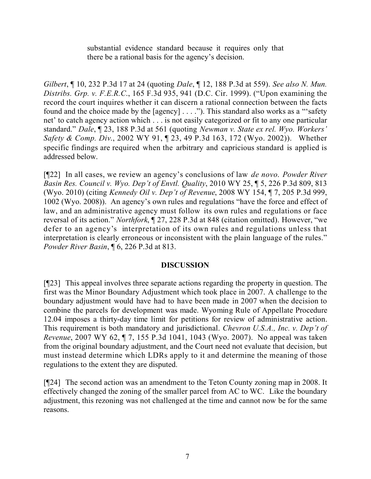substantial evidence standard because it requires only that there be a rational basis for the agency's decision.

*Gilbert*, ¶ 10, 232 P.3d 17 at 24 (quoting *Dale*, ¶ 12, 188 P.3d at 559). *See also N. Mun. Distribs. Grp. v. F.E.R.C*., 165 F.3d 935, 941 (D.C. Cir. 1999). ("Upon examining the record the court inquires whether it can discern a rational connection between the facts found and the choice made by the [agency] . . . ."). This standard also works as a "'safety net' to catch agency action which . . . is not easily categorized or fit to any one particular standard." *Dale*, ¶ 23, 188 P.3d at 561 (quoting *Newman v. State ex rel. Wyo. Workers' Safety & Comp. Div*., 2002 WY 91, ¶ 23, 49 P.3d 163, 172 (Wyo. 2002)). Whether specific findings are required when the arbitrary and capricious standard is applied is addressed below.

[¶22] In all cases, we review an agency's conclusions of law *de novo*. *Powder River Basin Res. Council v. Wyo. Dep't of Envtl. Quality*, 2010 WY 25, ¶ 5, 226 P.3d 809, 813 (Wyo. 2010) (citing *Kennedy Oil v. Dep't of Revenue*, 2008 WY 154, ¶ 7, 205 P.3d 999, 1002 (Wyo. 2008)). An agency's own rules and regulations "have the force and effect of law, and an administrative agency must follow its own rules and regulations or face reversal of its action." *Northfork*, ¶ 27, 228 P.3d at 848 (citation omitted). However, "we defer to an agency's interpretation of its own rules and regulations unless that interpretation is clearly erroneous or inconsistent with the plain language of the rules." *Powder River Basin*, ¶ 6, 226 P.3d at 813.

### **DISCUSSION**

[¶23] This appeal involves three separate actions regarding the property in question. The first was the Minor Boundary Adjustment which took place in 2007. A challenge to the boundary adjustment would have had to have been made in 2007 when the decision to combine the parcels for development was made. Wyoming Rule of Appellate Procedure 12.04 imposes a thirty-day time limit for petitions for review of administrative action. This requirement is both mandatory and jurisdictional. *Chevron U.S.A., Inc. v. Dep't of Revenue*, 2007 WY 62, ¶ 7, 155 P.3d 1041, 1043 (Wyo. 2007). No appeal was taken from the original boundary adjustment, and the Court need not evaluate that decision, but must instead determine which LDRs apply to it and determine the meaning of those regulations to the extent they are disputed.

[¶24] The second action was an amendment to the Teton County zoning map in 2008. It effectively changed the zoning of the smaller parcel from AC to WC. Like the boundary adjustment, this rezoning was not challenged at the time and cannot now be for the same reasons.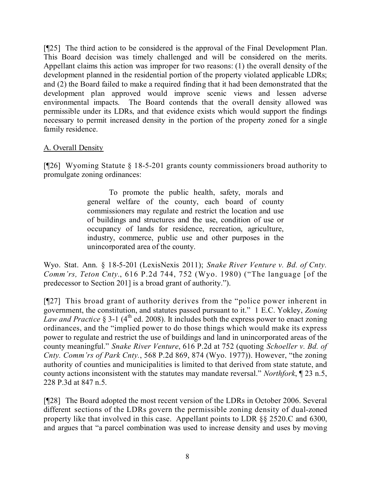[¶25] The third action to be considered is the approval of the Final Development Plan. This Board decision was timely challenged and will be considered on the merits. Appellant claims this action was improper for two reasons: (1) the overall density of the development planned in the residential portion of the property violated applicable LDRs; and (2) the Board failed to make a required finding that it had been demonstrated that the development plan approved would improve scenic views and lessen adverse environmental impacts. The Board contends that the overall density allowed was permissible under its LDRs, and that evidence exists which would support the findings necessary to permit increased density in the portion of the property zoned for a single family residence.

## A. Overall Density

[¶26] Wyoming Statute § 18-5-201 grants county commissioners broad authority to promulgate zoning ordinances:

> To promote the public health, safety, morals and general welfare of the county, each board of county commissioners may regulate and restrict the location and use of buildings and structures and the use, condition of use or occupancy of lands for residence, recreation, agriculture, industry, commerce, public use and other purposes in the unincorporated area of the county.

Wyo. Stat. Ann. § 18-5-201 (LexisNexis 2011); *Snake River Venture v. Bd. of Cnty. Comm'rs, Teton Cnty.*, 616 P.2d 744, 752 (Wyo. 1980) ("The language [of the predecessor to Section 201] is a broad grant of authority.").

[¶27] This broad grant of authority derives from the "police power inherent in government, the constitution, and statutes passed pursuant to it." 1 E.C. Yokley, *Zoning* Law and Practice § 3-1 (4<sup>th</sup> ed. 2008). It includes both the express power to enact zoning ordinances, and the "implied power to do those things which would make its express power to regulate and restrict the use of buildings and land in unincorporated areas of the county meaningful." *Snake River Venture*, 616 P.2d at 752 (quoting *Schoeller v. Bd. of Cnty. Comm'rs of Park Cnty.*, 568 P.2d 869, 874 (Wyo. 1977)). However, "the zoning authority of counties and municipalities is limited to that derived from state statute, and county actions inconsistent with the statutes may mandate reversal." *Northfork*, ¶ 23 n.5, 228 P.3d at 847 n.5.

[¶28] The Board adopted the most recent version of the LDRs in October 2006. Several different sections of the LDRs govern the permissible zoning density of dual-zoned property like that involved in this case. Appellant points to LDR §§ 2520.C and 6300, and argues that "a parcel combination was used to increase density and uses by moving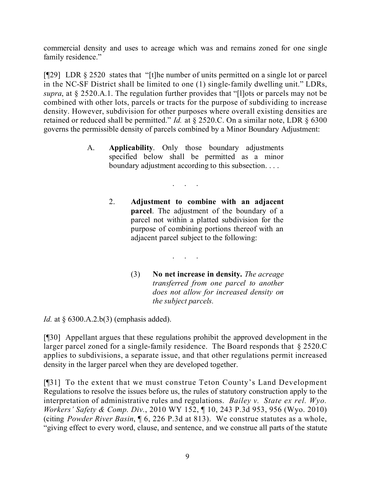commercial density and uses to acreage which was and remains zoned for one single family residence."

[¶29] LDR § 2520 states that "[t]he number of units permitted on a single lot or parcel in the NC-SF District shall be limited to one (1) single-family dwelling unit." LDRs, *supra*, at § 2520.A.1. The regulation further provides that "[l]ots or parcels may not be combined with other lots, parcels or tracts for the purpose of subdividing to increase density. However, subdivision for other purposes where overall existing densities are retained or reduced shall be permitted." *Id.* at § 2520.C. On a similar note, LDR § 6300 governs the permissible density of parcels combined by a Minor Boundary Adjustment:

> A. **Applicability**. Only those boundary adjustments specified below shall be permitted as a minor boundary adjustment according to this subsection. . . .

> > . . . . .

. . . . .

- 2. **Adjustment to combine with an adjacent parcel**. The adjustment of the boundary of a parcel not within a platted subdivision for the purpose of combining portions thereof with an adjacent parcel subject to the following:
	- (3) **No net increase in density.** *The acreage transferred from one parcel to another does not allow for increased density on the subject parcels.*

*Id.* at § 6300.A.2.b(3) (emphasis added).

[¶30] Appellant argues that these regulations prohibit the approved development in the larger parcel zoned for a single-family residence. The Board responds that § 2520.C applies to subdivisions, a separate issue, and that other regulations permit increased density in the larger parcel when they are developed together.

[¶31] To the extent that we must construe Teton County's Land Development Regulations to resolve the issues before us, the rules of statutory construction apply to the interpretation of administrative rules and regulations. *Bailey v. State ex rel. Wyo. Workers' Safety & Comp. Div.*, 2010 WY 152, ¶ 10, 243 P.3d 953, 956 (Wyo. 2010) (citing *Powder River Basin*, ¶ 6, 226 P.3d at 813). We construe statutes as a whole, "giving effect to every word, clause, and sentence, and we construe all parts of the statute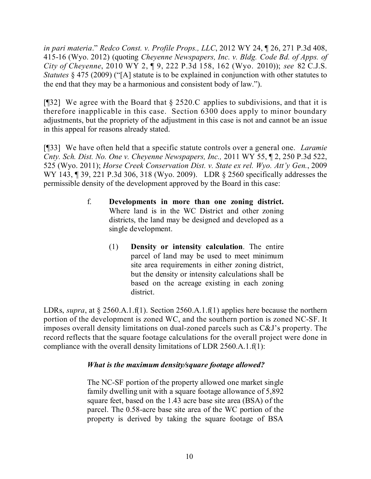*in pari materia*." *Redco Const. v. Profile Props., LLC*, 2012 WY 24, ¶ 26, 271 P.3d 408, 415-16 (Wyo. 2012) (quoting *Cheyenne Newspapers, Inc. v. Bldg. Code Bd. of Apps. of City of Cheyenne*, 2010 WY 2, ¶ 9, 222 P.3d 158, 162 (Wyo. 2010)); *see* 82 C.J.S. *Statutes* § 475 (2009) ("[A] statute is to be explained in conjunction with other statutes to the end that they may be a harmonious and consistent body of law.").

[ $[$ ] We agree with the Board that  $\S$  2520.C applies to subdivisions, and that it is therefore inapplicable in this case. Section 6300 does apply to minor boundary adjustments, but the propriety of the adjustment in this case is not and cannot be an issue in this appeal for reasons already stated.

[¶33] We have often held that a specific statute controls over a general one. *Laramie Cnty. Sch. Dist. No. One v. Cheyenne Newspapers, Inc.,* 2011 WY 55, ¶ 2, 250 P.3d 522, 525 (Wyo. 2011); *Horse Creek Conservation Dist. v. State ex rel. Wyo. Att'y Gen.*, 2009 WY 143, 139, 221 P.3d 306, 318 (Wyo. 2009). LDR § 2560 specifically addresses the permissible density of the development approved by the Board in this case:

- f. **Developments in more than one zoning district.** Where land is in the WC District and other zoning districts, the land may be designed and developed as a single development.
	- (1) **Density or intensity calculation**. The entire parcel of land may be used to meet minimum site area requirements in either zoning district, but the density or intensity calculations shall be based on the acreage existing in each zoning district.

LDRs, *supra*, at § 2560.A.1.f(1). Section 2560.A.1.f(1) applies here because the northern portion of the development is zoned WC, and the southern portion is zoned NC-SF. It imposes overall density limitations on dual-zoned parcels such as C&J's property. The record reflects that the square footage calculations for the overall project were done in compliance with the overall density limitations of LDR 2560.A.1.f(1):

# *What is the maximum density/square footage allowed?*

The NC-SF portion of the property allowed one market single family dwelling unit with a square footage allowance of 5,892 square feet, based on the 1.43 acre base site area (BSA) of the parcel. The 0.58-acre base site area of the WC portion of the property is derived by taking the square footage of BSA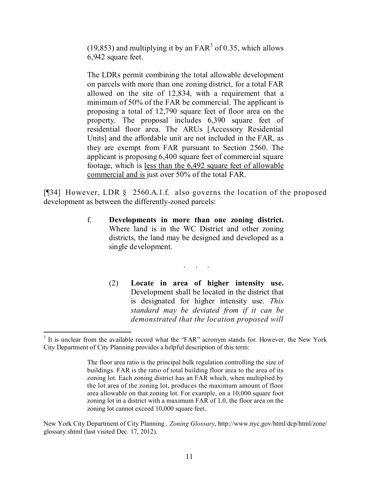(19,853) and multiplying it by an  $FAR<sup>3</sup>$  of 0.35, which allows 6,942 square feet.

The LDRs permit combining the total allowable development on parcels with more than one zoning district, for a total FAR allowed on the site of 12,834, with a requirement that a minimum of 50% of the FAR be commercial. The applicant is proposing a total of 12,790 square feet of floor area on the property. The proposal includes 6,390 square feet of residential floor area. The ARUs [Accessory Residential Units] and the affordable unit are not included in the FAR, as they are exempt from FAR pursuant to Section 2560. The applicant is proposing 6,400 square feet of commercial square footage, which is less than the 6,492 square feet of allowable commercial and is just over 50% of the total FAR.

[¶34] However, LDR § 2560.A.1.f. also governs the location of the proposed development as between the differently-zoned parcels:

> f. **Developments in more than one zoning district.** Where land is in the WC District and other zoning districts, the land may be designed and developed as a single development.

> > . . . . .

(2) **Locate in area of higher intensity use.** Development shall be located in the district that is designated for higher intensity use. *This standard may be deviated from if it can be demonstrated that the location proposed will* 

New York City Department of City Planning *, Zoning Glossary*, http://www.nyc.gov/html/dcp/html/zone/ glossary.shtml (last visited Dec. 17, 2012).

 $\overline{a}$ <sup>3</sup> It is unclear from the available record what the "FAR" acronym stands for. However, the New York City Department of City Planning provides a helpful description of this term:

The floor area ratio is the principal bulk regulation controlling the size of buildings. FAR is the ratio of total building floor area to the area of its zoning lot. Each zoning district has an FAR which, when multiplied by the lot area of the zoning lot, produces the maximum amount of floor area allowable on that zoning lot. For example, on a 10,000 square foot zoning lot in a district with a maximum FAR of 1.0, the floor area on the zoning lot cannot exceed 10,000 square feet.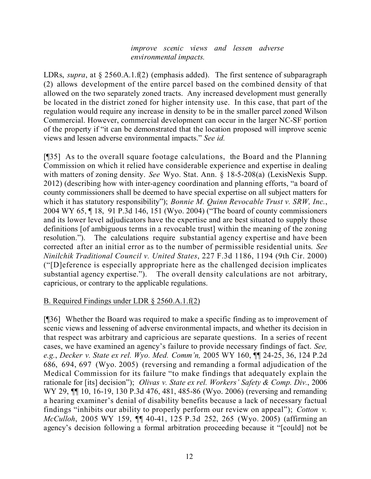#### *improve scenic views and lessen adverse environmental impacts.*

LDRs, *supra*, at § 2560.A.1.f(2) (emphasis added). The first sentence of subparagraph (2) allows development of the entire parcel based on the combined density of that allowed on the two separately zoned tracts. Any increased development must generally be located in the district zoned for higher intensity use. In this case, that part of the regulation would require any increase in density to be in the smaller parcel zoned Wilson Commercial. However, commercial development can occur in the larger NC-SF portion of the property if "it can be demonstrated that the location proposed will improve scenic views and lessen adverse environmental impacts." *See id.*

[¶35] As to the overall square footage calculations, the Board and the Planning Commission on which it relied have considerable experience and expertise in dealing with matters of zoning density. *See* Wyo. Stat. Ann. § 18-5-208(a) (LexisNexis Supp. 2012) (describing how with inter-agency coordination and planning efforts, "a board of county commissioners shall be deemed to have special expertise on all subject matters for which it has statutory responsibility"); *Bonnie M. Quinn Revocable Trust v. SRW, Inc.*, 2004 WY 65, ¶ 18, 91 P.3d 146, 151 (Wyo. 2004) ("The board of county commissioners and its lower level adjudicators have the expertise and are best situated to supply those definitions [of ambiguous terms in a revocable trust] within the meaning of the zoning resolution."). The calculations require substantial agency expertise and have been corrected after an initial error as to the number of permissible residential units. *See Ninilchik Traditional Council v. United States*, 227 F.3d 1186, 1194 (9th Cir. 2000) ("[D]eference is especially appropriate here as the challenged decision implicates substantial agency expertise."). The overall density calculations are not arbitrary, capricious, or contrary to the applicable regulations.

# B. Required Findings under LDR § 2560.A.1.f(2)

[¶36] Whether the Board was required to make a specific finding as to improvement of scenic views and lessening of adverse environmental impacts, and whether its decision in that respect was arbitrary and capricious are separate questions. In a series of recent cases, we have examined an agency's failure to provide necessary findings of fact. *See, e.g.*, *Decker v. State ex rel. Wyo. Med. Comm'n,* 2005 WY 160, ¶¶ 24-25, 36, 124 P.2d 686, 694, 697 (Wyo. 2005) (reversing and remanding a formal adjudication of the Medical Commission for its failure "to make findings that adequately explain the rationale for [its] decision"); *Olivas v. State ex rel. Workers' Safety & Comp. Div.*, 2006 WY 29,  $\P$  10, 16-19, 130 P.3d 476, 481, 485-86 (Wyo. 2006) (reversing and remanding a hearing examiner's denial of disability benefits because a lack of necessary factual findings "inhibits our ability to properly perform our review on appeal"); *Cotton v. McCulloh*, 2005 WY 159, ¶¶ 40-41, 125 P.3d 252, 265 (Wyo. 2005) (affirming an agency's decision following a formal arbitration proceeding because it "[could] not be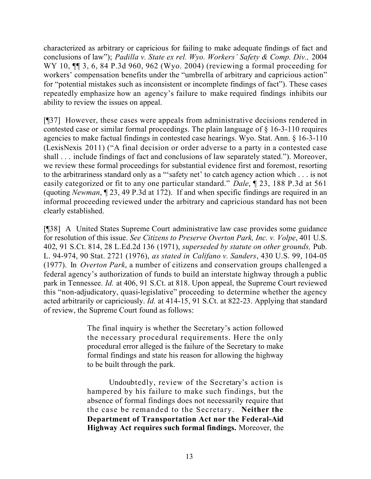characterized as arbitrary or capricious for failing to make adequate findings of fact and conclusions of law"); *Padilla v. State ex rel. Wyo. Workers' Safety & Comp. Div.,* 2004 WY 10, ¶¶ 3, 6, 84 P.3d 960, 962 (Wyo. 2004) (reviewing a formal proceeding for workers' compensation benefits under the "umbrella of arbitrary and capricious action" for "potential mistakes such as inconsistent or incomplete findings of fact"). These cases repeatedly emphasize how an agency's failure to make required findings inhibits our ability to review the issues on appeal.

[¶37] However, these cases were appeals from administrative decisions rendered in contested case or similar formal proceedings. The plain language of § 16-3-110 requires agencies to make factual findings in contested case hearings. Wyo. Stat. Ann. § 16-3-110 (LexisNexis 2011) ("A final decision or order adverse to a party in a contested case shall . . . include findings of fact and conclusions of law separately stated."). Moreover, we review these formal proceedings for substantial evidence first and foremost, resorting to the arbitrariness standard only as a "'safety net' to catch agency action which . . . is not easily categorized or fit to any one particular standard." *Dale*, ¶ 23, 188 P.3d at 561 (quoting *Newman*, ¶ 23, 49 P.3d at 172). If and when specific findings are required in an informal proceeding reviewed under the arbitrary and capricious standard has not been clearly established.

[¶38] A United States Supreme Court administrative law case provides some guidance for resolution of this issue. *See Citizens to Preserve Overton Park, Inc. v. Volpe*, 401 U.S. 402, 91 S.Ct. 814, 28 L.Ed.2d 136 (1971), *superseded by statute on other grounds,* Pub. L. 94-974, 90 Stat. 2721 (1976), *as stated in Califano v. Sanders*, 430 U.S. 99, 104-05 (1977). In *Overton Park*, a number of citizens and conservation groups challenged a federal agency's authorization of funds to build an interstate highway through a public park in Tennessee. *Id.* at 406, 91 S.Ct. at 818. Upon appeal, the Supreme Court reviewed this "non-adjudicatory, quasi-legislative" proceeding to determine whether the agency acted arbitrarily or capriciously. *Id.* at 414-15, 91 S.Ct. at 822-23. Applying that standard of review, the Supreme Court found as follows:

> The final inquiry is whether the Secretary's action followed the necessary procedural requirements. Here the only procedural error alleged is the failure of the Secretary to make formal findings and state his reason for allowing the highway to be built through the park.

> Undoubtedly, review of the Secretary's action is hampered by his failure to make such findings, but the absence of formal findings does not necessarily require that the case be remanded to the Secretary. **Neither the Department of Transportation Act nor the Federal-Aid Highway Act requires such formal findings.** Moreover, the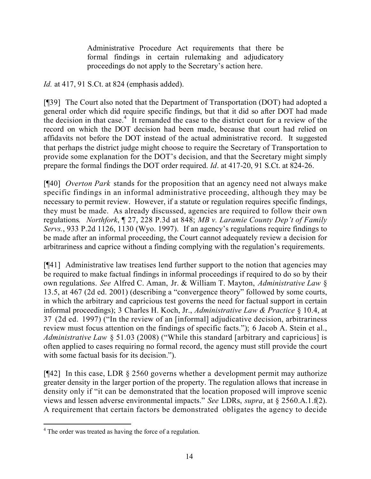Administrative Procedure Act requirements that there be formal findings in certain rulemaking and adjudicatory proceedings do not apply to the Secretary's action here.

*Id.* at 417, 91 S.Ct. at 824 (emphasis added).

[¶39] The Court also noted that the Department of Transportation (DOT) had adopted a general order which did require specific findings, but that it did so after DOT had made the decision in that case.<sup>4</sup> It remanded the case to the district court for a review of the record on which the DOT decision had been made, because that court had relied on affidavits not before the DOT instead of the actual administrative record. It suggested that perhaps the district judge might choose to require the Secretary of Transportation to provide some explanation for the DOT's decision, and that the Secretary might simply prepare the formal findings the DOT order required. *Id*. at 417-20, 91 S.Ct. at 824-26.

[¶40] *Overton Park* stands for the proposition that an agency need not always make specific findings in an informal administrative proceeding, although they may be necessary to permit review. However, if a statute or regulation requires specific findings, they must be made. As already discussed, agencies are required to follow their own regulations*. Northfork*, ¶ 27, 228 P.3d at 848; *MB v. Laramie County Dep't of Family Servs.*, 933 P.2d 1126, 1130 (Wyo. 1997). If an agency's regulations require findings to be made after an informal proceeding, the Court cannot adequately review a decision for arbitrariness and caprice without a finding complying with the regulation's requirements.

[¶41] Administrative law treatises lend further support to the notion that agencies may be required to make factual findings in informal proceedings if required to do so by their own regulations. *See* Alfred C. Aman, Jr. & William T. Mayton, *Administrative Law* § 13.5, at 467 (2d ed. 2001) (describing a "convergence theory" followed by some courts, in which the arbitrary and capricious test governs the need for factual support in certain informal proceedings); 3 Charles H. Koch, Jr., *Administrative Law & Practice* § 10.4, at 37 (2d ed. 1997) ("In the review of an [informal] adjudicative decision, arbitrariness review must focus attention on the findings of specific facts."); 6 Jacob A. Stein et al., *Administrative Law* § 51.03 (2008) ("While this standard [arbitrary and capricious] is often applied to cases requiring no formal record, the agency must still provide the court with some factual basis for its decision.").

[¶42] In this case, LDR § 2560 governs whether a development permit may authorize greater density in the larger portion of the property. The regulation allows that increase in density only if "it can be demonstrated that the location proposed will improve scenic views and lessen adverse environmental impacts." *See* LDRs, *supra*, at § 2560.A.1.f(2). A requirement that certain factors be demonstrated obligates the agency to decide

 <sup>4</sup> The order was treated as having the force of a regulation.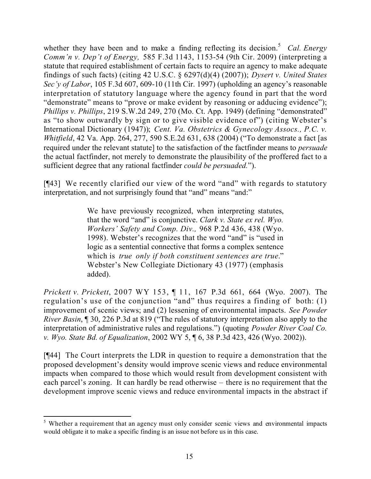whether they have been and to make a finding reflecting its decision.<sup>5</sup> *Cal. Energy Comm'n v. Dep't of Energy,* 585 F.3d 1143, 1153-54 (9th Cir. 2009) (interpreting a statute that required establishment of certain facts to require an agency to make adequate findings of such facts) (citing 42 U.S.C. § 6297(d)(4) (2007)); *Dysert v. United States Sec'y of Labor*, 105 F.3d 607, 609-10 (11th Cir. 1997) (upholding an agency's reasonable interpretation of statutory language where the agency found in part that the word "demonstrate" means to "prove or make evident by reasoning or adducing evidence"); *Phillips v. Phillips*, 219 S.W.2d 249, 270 (Mo. Ct. App. 1949) (defining "demonstrated" as "to show outwardly by sign or to give visible evidence of") (citing Webster's International Dictionary (1947)); *Cent. Va. Obstetrics & Gynecology Assocs., P.C. v. Whitfield*, 42 Va. App. 264, 277, 590 S.E.2d 631, 638 (2004) ("To demonstrate a fact [as required under the relevant statute] to the satisfaction of the factfinder means to *persuade* the actual factfinder, not merely to demonstrate the plausibility of the proffered fact to a sufficient degree that any rational factfinder *could be persuaded.*").

[¶43] We recently clarified our view of the word "and" with regards to statutory interpretation, and not surprisingly found that "and" means "and:"

> We have previously recognized, when interpreting statutes, that the word "and" is conjunctive. *Clark v. State ex rel. Wyo. Workers' Safety and Comp. Div.,* 968 P.2d 436, 438 (Wyo. 1998). Webster's recognizes that the word "and" is "used in logic as a sentential connective that forms a complex sentence which is *true only if both constituent sentences are true*." Webster's New Collegiate Dictionary 43 (1977) (emphasis added).

*Prickett v. Prickett*, 2007 WY 153, ¶ 11, 167 P.3d 661, 664 (Wyo. 2007). The regulation's use of the conjunction "and" thus requires a finding of both: (1) improvement of scenic views; and (2) lessening of environmental impacts. *See Powder River Basin*, ¶ 30, 226 P.3d at 819 ("The rules of statutory interpretation also apply to the interpretation of administrative rules and regulations.") (quoting *Powder River Coal Co. v. Wyo. State Bd. of Equalization*, 2002 WY 5, ¶ 6, 38 P.3d 423, 426 (Wyo. 2002)).

[¶44] The Court interprets the LDR in question to require a demonstration that the proposed development's density would improve scenic views and reduce environmental impacts when compared to those which would result from development consistent with each parcel's zoning. It can hardly be read otherwise – there is no requirement that the development improve scenic views and reduce environmental impacts in the abstract if

 $\overline{a}$ <sup>5</sup> Whether a requirement that an agency must only consider scenic views and environmental impacts would obligate it to make a specific finding is an issue not before us in this case.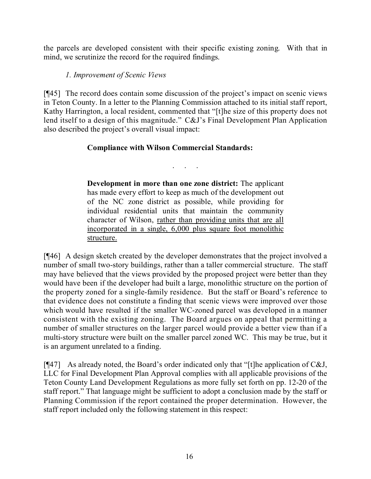the parcels are developed consistent with their specific existing zoning. With that in mind, we scrutinize the record for the required findings.

# *1. Improvement of Scenic Views*

[¶45] The record does contain some discussion of the project's impact on scenic views in Teton County. In a letter to the Planning Commission attached to its initial staff report, Kathy Harrington, a local resident, commented that "[t]he size of this property does not lend itself to a design of this magnitude." C&J's Final Development Plan Application also described the project's overall visual impact:

# **Compliance with Wilson Commercial Standards:**

. . . . .

**Development in more than one zone district:** The applicant has made every effort to keep as much of the development out of the NC zone district as possible, while providing for individual residential units that maintain the community character of Wilson, rather than providing units that are all incorporated in a single, 6,000 plus square foot monolithic structure.

[¶46] A design sketch created by the developer demonstrates that the project involved a number of small two-story buildings, rather than a taller commercial structure. The staff may have believed that the views provided by the proposed project were better than they would have been if the developer had built a large, monolithic structure on the portion of the property zoned for a single-family residence. But the staff or Board's reference to that evidence does not constitute a finding that scenic views were improved over those which would have resulted if the smaller WC-zoned parcel was developed in a manner consistent with the existing zoning. The Board argues on appeal that permitting a number of smaller structures on the larger parcel would provide a better view than if a multi-story structure were built on the smaller parcel zoned WC. This may be true, but it is an argument unrelated to a finding.

[¶47] As already noted, the Board's order indicated only that "[t]he application of C&J, LLC for Final Development Plan Approval complies with all applicable provisions of the Teton County Land Development Regulations as more fully set forth on pp. 12-20 of the staff report." That language might be sufficient to adopt a conclusion made by the staff or Planning Commission if the report contained the proper determination. However, the staff report included only the following statement in this respect: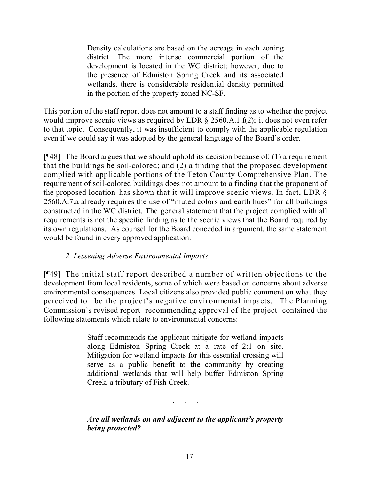Density calculations are based on the acreage in each zoning district. The more intense commercial portion of the development is located in the WC district; however, due to the presence of Edmiston Spring Creek and its associated wetlands, there is considerable residential density permitted in the portion of the property zoned NC-SF.

This portion of the staff report does not amount to a staff finding as to whether the project would improve scenic views as required by LDR § 2560.A.1.f(2); it does not even refer to that topic. Consequently, it was insufficient to comply with the applicable regulation even if we could say it was adopted by the general language of the Board's order.

[¶48] The Board argues that we should uphold its decision because of: (1) a requirement that the buildings be soil-colored; and (2) a finding that the proposed development complied with applicable portions of the Teton County Comprehensive Plan. The requirement of soil-colored buildings does not amount to a finding that the proponent of the proposed location has shown that it will improve scenic views. In fact, LDR § 2560.A.7.a already requires the use of "muted colors and earth hues" for all buildings constructed in the WC district. The general statement that the project complied with all requirements is not the specific finding as to the scenic views that the Board required by its own regulations. As counsel for the Board conceded in argument, the same statement would be found in every approved application.

# *2. Lessening Adverse Environmental Impacts*

[¶49] The initial staff report described a number of written objections to the development from local residents, some of which were based on concerns about adverse environmental consequences. Local citizens also provided public comment on what they perceived to be the project's negative environmental impacts. The Planning Commission's revised report recommending approval of the project contained the following statements which relate to environmental concerns:

> Staff recommends the applicant mitigate for wetland impacts along Edmiston Spring Creek at a rate of 2:1 on site. Mitigation for wetland impacts for this essential crossing will serve as a public benefit to the community by creating additional wetlands that will help buffer Edmiston Spring Creek, a tributary of Fish Creek.

*Are all wetlands on and adjacent to the applicant's property being protected?*

. . . . .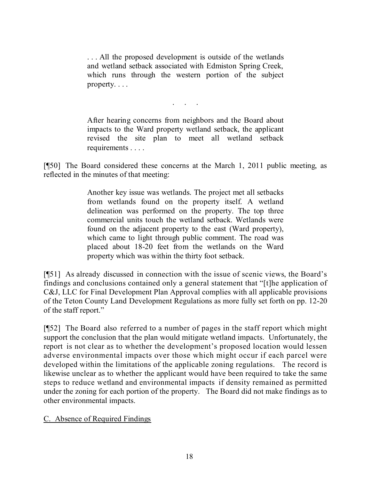. . . All the proposed development is outside of the wetlands and wetland setback associated with Edmiston Spring Creek, which runs through the western portion of the subject property. . . .

. . . . .

After hearing concerns from neighbors and the Board about impacts to the Ward property wetland setback, the applicant revised the site plan to meet all wetland setback requirements . . . .

[¶50] The Board considered these concerns at the March 1, 2011 public meeting, as reflected in the minutes of that meeting:

> Another key issue was wetlands. The project met all setbacks from wetlands found on the property itself. A wetland delineation was performed on the property. The top three commercial units touch the wetland setback. Wetlands were found on the adjacent property to the east (Ward property), which came to light through public comment. The road was placed about 18-20 feet from the wetlands on the Ward property which was within the thirty foot setback.

[¶51] As already discussed in connection with the issue of scenic views, the Board's findings and conclusions contained only a general statement that "[t]he application of C&J, LLC for Final Development Plan Approval complies with all applicable provisions of the Teton County Land Development Regulations as more fully set forth on pp. 12-20 of the staff report."

[¶52] The Board also referred to a number of pages in the staff report which might support the conclusion that the plan would mitigate wetland impacts. Unfortunately, the report is not clear as to whether the development's proposed location would lessen adverse environmental impacts over those which might occur if each parcel were developed within the limitations of the applicable zoning regulations. The record is likewise unclear as to whether the applicant would have been required to take the same steps to reduce wetland and environmental impacts if density remained as permitted under the zoning for each portion of the property. The Board did not make findings as to other environmental impacts.

#### C. Absence of Required Findings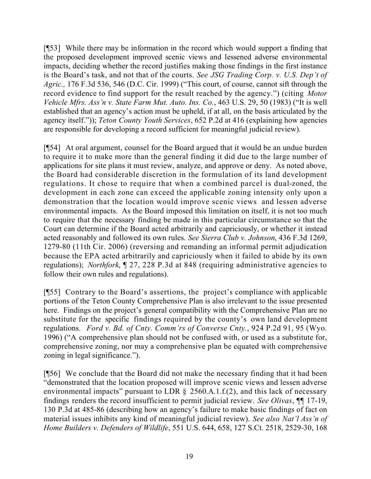[¶53] While there may be information in the record which would support a finding that the proposed development improved scenic views and lessened adverse environmental impacts, deciding whether the record justifies making those findings in the first instance is the Board's task, and not that of the courts. *See JSG Trading Corp. v. U.S. Dep't of Agric.,* 176 F.3d 536, 546 (D.C. Cir. 1999) ("This court, of course, cannot sift through the record evidence to find support for the result reached by the agency.") (citing *Motor Vehicle Mfrs. Ass'n v. State Farm Mut. Auto. Ins. Co.*, 463 U.S. 29, 50 (1983) ("It is well established that an agency's action must be upheld, if at all, on the basis articulated by the agency itself.")); *Teton County Youth Services*, 652 P.2d at 416 (explaining how agencies are responsible for developing a record sufficient for meaningful judicial review).

[¶54] At oral argument, counsel for the Board argued that it would be an undue burden to require it to make more than the general finding it did due to the large number of applications for site plans it must review, analyze, and approve or deny. As noted above, the Board had considerable discretion in the formulation of its land development regulations. It chose to require that when a combined parcel is dual-zoned, the development in each zone can exceed the applicable zoning intensity only upon a demonstration that the location would improve scenic views and lessen adverse environmental impacts. As the Board imposed this limitation on itself, it is not too much to require that the necessary finding be made in this particular circumstance so that the Court can determine if the Board acted arbitrarily and capriciously, or whether it instead acted reasonably and followed its own rules. *See Sierra Club v. Johnson*, 436 F.3d 1269, 1279-80 (11th Cir. 2006) (reversing and remanding an informal permit adjudication because the EPA acted arbitrarily and capriciously when it failed to abide by its own regulations); *Northfork*, ¶ 27, 228 P.3d at 848 (requiring administrative agencies to follow their own rules and regulations).

[¶55] Contrary to the Board's assertions, the project's compliance with applicable portions of the Teton County Comprehensive Plan is also irrelevant to the issue presented here. Findings on the project's general compatibility with the Comprehensive Plan are no substitute for the specific findings required by the county's own land development regulations. *Ford v. Bd. of Cnty. Comm'rs of Converse Cnty.*, 924 P.2d 91, 95 (Wyo. 1996) ("A comprehensive plan should not be confused with, or used as a substitute for, comprehensive zoning, nor may a comprehensive plan be equated with comprehensive zoning in legal significance.").

[¶56] We conclude that the Board did not make the necessary finding that it had been "demonstrated that the location proposed will improve scenic views and lessen adverse environmental impacts" pursuant to LDR  $\S$  2560.A.1.f.(2), and this lack of necessary findings renders the record insufficient to permit judicial review. *See Olivas*, ¶¶ 17-19, 130 P.3d at 485-86 (describing how an agency's failure to make basic findings of fact on material issues inhibits any kind of meaningful judicial review). *See also Nat'l Ass'n of Home Builders v. Defenders of Wildlife*, 551 U.S. 644, 658, 127 S.Ct. 2518, 2529-30, 168